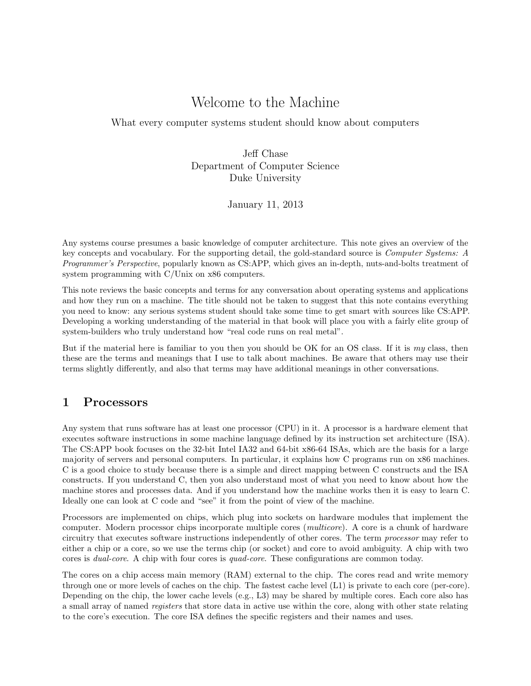# Welcome to the Machine

What every computer systems student should know about computers

Jeff Chase Department of Computer Science Duke University

January 11, 2013

Any systems course presumes a basic knowledge of computer architecture. This note gives an overview of the key concepts and vocabulary. For the supporting detail, the gold-standard source is Computer Systems: A Programmer's Perspective, popularly known as CS:APP, which gives an in-depth, nuts-and-bolts treatment of system programming with C/Unix on x86 computers.

This note reviews the basic concepts and terms for any conversation about operating systems and applications and how they run on a machine. The title should not be taken to suggest that this note contains everything you need to know: any serious systems student should take some time to get smart with sources like CS:APP. Developing a working understanding of the material in that book will place you with a fairly elite group of system-builders who truly understand how "real code runs on real metal".

But if the material here is familiar to you then you should be OK for an OS class. If it is my class, then these are the terms and meanings that I use to talk about machines. Be aware that others may use their terms slightly differently, and also that terms may have additional meanings in other conversations.

### 1 Processors

Any system that runs software has at least one processor (CPU) in it. A processor is a hardware element that executes software instructions in some machine language defined by its instruction set architecture (ISA). The CS:APP book focuses on the 32-bit Intel IA32 and 64-bit x86-64 ISAs, which are the basis for a large majority of servers and personal computers. In particular, it explains how C programs run on x86 machines. C is a good choice to study because there is a simple and direct mapping between C constructs and the ISA constructs. If you understand C, then you also understand most of what you need to know about how the machine stores and processes data. And if you understand how the machine works then it is easy to learn C. Ideally one can look at C code and "see" it from the point of view of the machine.

Processors are implemented on chips, which plug into sockets on hardware modules that implement the computer. Modern processor chips incorporate multiple cores (multicore). A core is a chunk of hardware circuitry that executes software instructions independently of other cores. The term processor may refer to either a chip or a core, so we use the terms chip (or socket) and core to avoid ambiguity. A chip with two cores is dual-core. A chip with four cores is quad-core. These configurations are common today.

The cores on a chip access main memory (RAM) external to the chip. The cores read and write memory through one or more levels of caches on the chip. The fastest cache level (L1) is private to each core (per-core). Depending on the chip, the lower cache levels (e.g., L3) may be shared by multiple cores. Each core also has a small array of named registers that store data in active use within the core, along with other state relating to the core's execution. The core ISA defines the specific registers and their names and uses.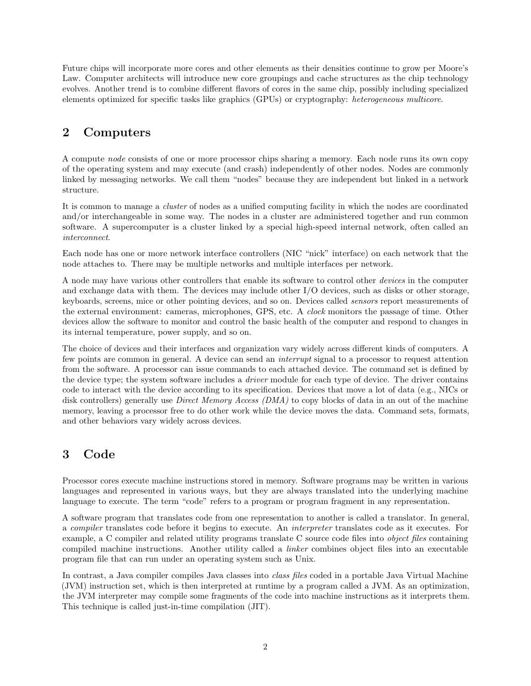Future chips will incorporate more cores and other elements as their densities continue to grow per Moore's Law. Computer architects will introduce new core groupings and cache structures as the chip technology evolves. Another trend is to combine different flavors of cores in the same chip, possibly including specialized elements optimized for specific tasks like graphics (GPUs) or cryptography: heterogeneous multicore.

# 2 Computers

A compute node consists of one or more processor chips sharing a memory. Each node runs its own copy of the operating system and may execute (and crash) independently of other nodes. Nodes are commonly linked by messaging networks. We call them "nodes" because they are independent but linked in a network structure.

It is common to manage a cluster of nodes as a unified computing facility in which the nodes are coordinated and/or interchangeable in some way. The nodes in a cluster are administered together and run common software. A supercomputer is a cluster linked by a special high-speed internal network, often called an interconnect.

Each node has one or more network interface controllers (NIC "nick" interface) on each network that the node attaches to. There may be multiple networks and multiple interfaces per network.

A node may have various other controllers that enable its software to control other devices in the computer and exchange data with them. The devices may include other I/O devices, such as disks or other storage, keyboards, screens, mice or other pointing devices, and so on. Devices called sensors report measurements of the external environment: cameras, microphones, GPS, etc. A clock monitors the passage of time. Other devices allow the software to monitor and control the basic health of the computer and respond to changes in its internal temperature, power supply, and so on.

The choice of devices and their interfaces and organization vary widely across different kinds of computers. A few points are common in general. A device can send an interrupt signal to a processor to request attention from the software. A processor can issue commands to each attached device. The command set is defined by the device type; the system software includes a *driver* module for each type of device. The driver contains code to interact with the device according to its specification. Devices that move a lot of data (e.g., NICs or disk controllers) generally use *Direct Memory Access (DMA)* to copy blocks of data in an out of the machine memory, leaving a processor free to do other work while the device moves the data. Command sets, formats, and other behaviors vary widely across devices.

# 3 Code

Processor cores execute machine instructions stored in memory. Software programs may be written in various languages and represented in various ways, but they are always translated into the underlying machine language to execute. The term "code" refers to a program or program fragment in any representation.

A software program that translates code from one representation to another is called a translator. In general, a compiler translates code before it begins to execute. An interpreter translates code as it executes. For example, a C compiler and related utility programs translate C source code files into object files containing compiled machine instructions. Another utility called a linker combines object files into an executable program file that can run under an operating system such as Unix.

In contrast, a Java compiler compiles Java classes into class files coded in a portable Java Virtual Machine (JVM) instruction set, which is then interpreted at runtime by a program called a JVM. As an optimization, the JVM interpreter may compile some fragments of the code into machine instructions as it interprets them. This technique is called just-in-time compilation (JIT).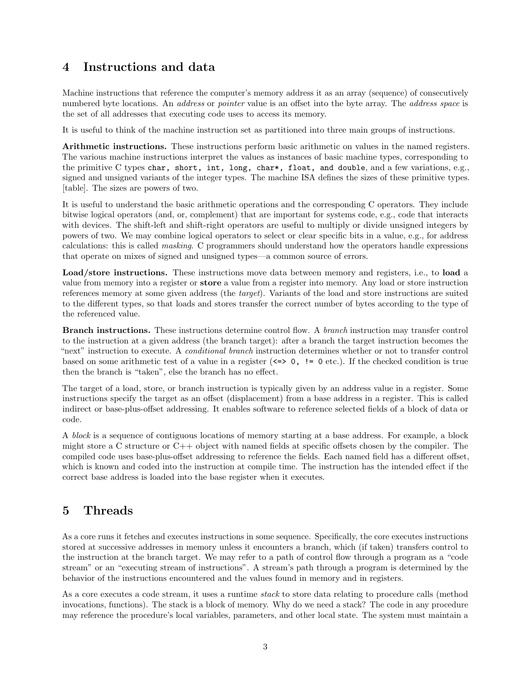### 4 Instructions and data

Machine instructions that reference the computer's memory address it as an array (sequence) of consecutively numbered byte locations. An *address* or *pointer* value is an offset into the byte array. The *address space* is the set of all addresses that executing code uses to access its memory.

It is useful to think of the machine instruction set as partitioned into three main groups of instructions.

Arithmetic instructions. These instructions perform basic arithmetic on values in the named registers. The various machine instructions interpret the values as instances of basic machine types, corresponding to the primitive C types char, short, int, long, char\*, float, and double, and a few variations, e.g., signed and unsigned variants of the integer types. The machine ISA defines the sizes of these primitive types. [table]. The sizes are powers of two.

It is useful to understand the basic arithmetic operations and the corresponding C operators. They include bitwise logical operators (and, or, complement) that are important for systems code, e.g., code that interacts with devices. The shift-left and shift-right operators are useful to multiply or divide unsigned integers by powers of two. We may combine logical operators to select or clear specific bits in a value, e.g., for address calculations: this is called masking. C programmers should understand how the operators handle expressions that operate on mixes of signed and unsigned types—a common source of errors.

Load/store instructions. These instructions move data between memory and registers, i.e., to load a value from memory into a register or store a value from a register into memory. Any load or store instruction references memory at some given address (the target). Variants of the load and store instructions are suited to the different types, so that loads and stores transfer the correct number of bytes according to the type of the referenced value.

Branch instructions. These instructions determine control flow. A branch instruction may transfer control to the instruction at a given address (the branch target): after a branch the target instruction becomes the "next" instruction to execute. A *conditional branch* instruction determines whether or not to transfer control based on some arithmetic test of a value in a register  $(\leq>0, := 0$  etc.). If the checked condition is true then the branch is "taken", else the branch has no effect.

The target of a load, store, or branch instruction is typically given by an address value in a register. Some instructions specify the target as an offset (displacement) from a base address in a register. This is called indirect or base-plus-offset addressing. It enables software to reference selected fields of a block of data or code.

A block is a sequence of contiguous locations of memory starting at a base address. For example, a block might store a C structure or C++ object with named fields at specific offsets chosen by the compiler. The compiled code uses base-plus-offset addressing to reference the fields. Each named field has a different offset, which is known and coded into the instruction at compile time. The instruction has the intended effect if the correct base address is loaded into the base register when it executes.

## 5 Threads

As a core runs it fetches and executes instructions in some sequence. Specifically, the core executes instructions stored at successive addresses in memory unless it encounters a branch, which (if taken) transfers control to the instruction at the branch target. We may refer to a path of control flow through a program as a "code stream" or an "executing stream of instructions". A stream's path through a program is determined by the behavior of the instructions encountered and the values found in memory and in registers.

As a core executes a code stream, it uses a runtime stack to store data relating to procedure calls (method invocations, functions). The stack is a block of memory. Why do we need a stack? The code in any procedure may reference the procedure's local variables, parameters, and other local state. The system must maintain a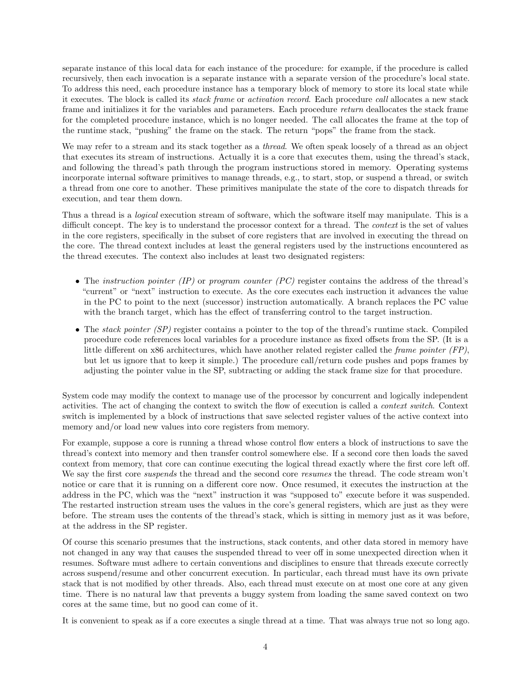separate instance of this local data for each instance of the procedure: for example, if the procedure is called recursively, then each invocation is a separate instance with a separate version of the procedure's local state. To address this need, each procedure instance has a temporary block of memory to store its local state while it executes. The block is called its stack frame or activation record. Each procedure call allocates a new stack frame and initializes it for the variables and parameters. Each procedure return deallocates the stack frame for the completed procedure instance, which is no longer needed. The call allocates the frame at the top of the runtime stack, "pushing" the frame on the stack. The return "pops" the frame from the stack.

We may refer to a stream and its stack together as a *thread*. We often speak loosely of a thread as an object that executes its stream of instructions. Actually it is a core that executes them, using the thread's stack, and following the thread's path through the program instructions stored in memory. Operating systems incorporate internal software primitives to manage threads, e.g., to start, stop, or suspend a thread, or switch a thread from one core to another. These primitives manipulate the state of the core to dispatch threads for execution, and tear them down.

Thus a thread is a logical execution stream of software, which the software itself may manipulate. This is a difficult concept. The key is to understand the processor context for a thread. The *context* is the set of values in the core registers, specifically in the subset of core registers that are involved in executing the thread on the core. The thread context includes at least the general registers used by the instructions encountered as the thread executes. The context also includes at least two designated registers:

- The *instruction pointer (IP)* or *program counter (PC)* register contains the address of the thread's "current" or "next" instruction to execute. As the core executes each instruction it advances the value in the PC to point to the next (successor) instruction automatically. A branch replaces the PC value with the branch target, which has the effect of transferring control to the target instruction.
- The *stack pointer (SP)* register contains a pointer to the top of the thread's runtime stack. Compiled procedure code references local variables for a procedure instance as fixed offsets from the SP. (It is a little different on x86 architectures, which have another related register called the frame pointer (FP), but let us ignore that to keep it simple.) The procedure call/return code pushes and pops frames by adjusting the pointer value in the SP, subtracting or adding the stack frame size for that procedure.

System code may modify the context to manage use of the processor by concurrent and logically independent activities. The act of changing the context to switch the flow of execution is called a context switch. Context switch is implemented by a block of instructions that save selected register values of the active context into memory and/or load new values into core registers from memory.

For example, suppose a core is running a thread whose control flow enters a block of instructions to save the thread's context into memory and then transfer control somewhere else. If a second core then loads the saved context from memory, that core can continue executing the logical thread exactly where the first core left off. We say the first core *suspends* the thread and the second core *resumes* the thread. The code stream won't notice or care that it is running on a different core now. Once resumed, it executes the instruction at the address in the PC, which was the "next" instruction it was "supposed to" execute before it was suspended. The restarted instruction stream uses the values in the core's general registers, which are just as they were before. The stream uses the contents of the thread's stack, which is sitting in memory just as it was before, at the address in the SP register.

Of course this scenario presumes that the instructions, stack contents, and other data stored in memory have not changed in any way that causes the suspended thread to veer off in some unexpected direction when it resumes. Software must adhere to certain conventions and disciplines to ensure that threads execute correctly across suspend/resume and other concurrent execution. In particular, each thread must have its own private stack that is not modified by other threads. Also, each thread must execute on at most one core at any given time. There is no natural law that prevents a buggy system from loading the same saved context on two cores at the same time, but no good can come of it.

It is convenient to speak as if a core executes a single thread at a time. That was always true not so long ago.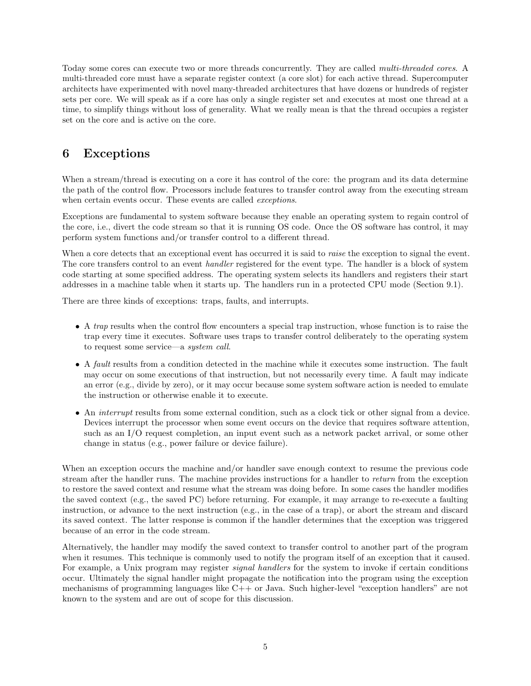Today some cores can execute two or more threads concurrently. They are called multi-threaded cores. A multi-threaded core must have a separate register context (a core slot) for each active thread. Supercomputer architects have experimented with novel many-threaded architectures that have dozens or hundreds of register sets per core. We will speak as if a core has only a single register set and executes at most one thread at a time, to simplify things without loss of generality. What we really mean is that the thread occupies a register set on the core and is active on the core.

## 6 Exceptions

When a stream/thread is executing on a core it has control of the core: the program and its data determine the path of the control flow. Processors include features to transfer control away from the executing stream when certain events occur. These events are called *exceptions*.

Exceptions are fundamental to system software because they enable an operating system to regain control of the core, i.e., divert the code stream so that it is running OS code. Once the OS software has control, it may perform system functions and/or transfer control to a different thread.

When a core detects that an exceptional event has occurred it is said to *raise* the exception to signal the event. The core transfers control to an event *handler* registered for the event type. The handler is a block of system code starting at some specified address. The operating system selects its handlers and registers their start addresses in a machine table when it starts up. The handlers run in a protected CPU mode (Section 9.1).

There are three kinds of exceptions: traps, faults, and interrupts.

- A trap results when the control flow encounters a special trap instruction, whose function is to raise the trap every time it executes. Software uses traps to transfer control deliberately to the operating system to request some service—a system call.
- A fault results from a condition detected in the machine while it executes some instruction. The fault may occur on some executions of that instruction, but not necessarily every time. A fault may indicate an error (e.g., divide by zero), or it may occur because some system software action is needed to emulate the instruction or otherwise enable it to execute.
- An interrupt results from some external condition, such as a clock tick or other signal from a device. Devices interrupt the processor when some event occurs on the device that requires software attention, such as an I/O request completion, an input event such as a network packet arrival, or some other change in status (e.g., power failure or device failure).

When an exception occurs the machine and/or handler save enough context to resume the previous code stream after the handler runs. The machine provides instructions for a handler to return from the exception to restore the saved context and resume what the stream was doing before. In some cases the handler modifies the saved context (e.g., the saved PC) before returning. For example, it may arrange to re-execute a faulting instruction, or advance to the next instruction (e.g., in the case of a trap), or abort the stream and discard its saved context. The latter response is common if the handler determines that the exception was triggered because of an error in the code stream.

Alternatively, the handler may modify the saved context to transfer control to another part of the program when it resumes. This technique is commonly used to notify the program itself of an exception that it caused. For example, a Unix program may register *signal handlers* for the system to invoke if certain conditions occur. Ultimately the signal handler might propagate the notification into the program using the exception mechanisms of programming languages like C++ or Java. Such higher-level "exception handlers" are not known to the system and are out of scope for this discussion.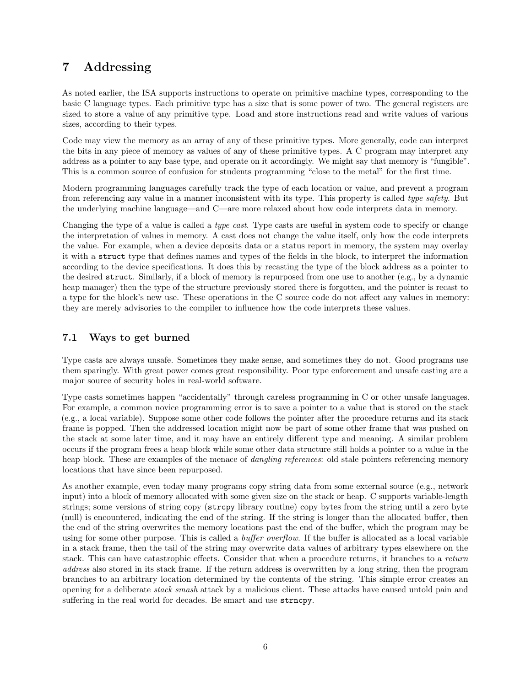## 7 Addressing

As noted earlier, the ISA supports instructions to operate on primitive machine types, corresponding to the basic C language types. Each primitive type has a size that is some power of two. The general registers are sized to store a value of any primitive type. Load and store instructions read and write values of various sizes, according to their types.

Code may view the memory as an array of any of these primitive types. More generally, code can interpret the bits in any piece of memory as values of any of these primitive types. A C program may interpret any address as a pointer to any base type, and operate on it accordingly. We might say that memory is "fungible". This is a common source of confusion for students programming "close to the metal" for the first time.

Modern programming languages carefully track the type of each location or value, and prevent a program from referencing any value in a manner inconsistent with its type. This property is called type safety. But the underlying machine language—and C—are more relaxed about how code interprets data in memory.

Changing the type of a value is called a type cast. Type casts are useful in system code to specify or change the interpretation of values in memory. A cast does not change the value itself, only how the code interprets the value. For example, when a device deposits data or a status report in memory, the system may overlay it with a struct type that defines names and types of the fields in the block, to interpret the information according to the device specifications. It does this by recasting the type of the block address as a pointer to the desired struct. Similarly, if a block of memory is repurposed from one use to another (e.g., by a dynamic heap manager) then the type of the structure previously stored there is forgotten, and the pointer is recast to a type for the block's new use. These operations in the C source code do not affect any values in memory: they are merely advisories to the compiler to influence how the code interprets these values.

#### 7.1 Ways to get burned

Type casts are always unsafe. Sometimes they make sense, and sometimes they do not. Good programs use them sparingly. With great power comes great responsibility. Poor type enforcement and unsafe casting are a major source of security holes in real-world software.

Type casts sometimes happen "accidentally" through careless programming in C or other unsafe languages. For example, a common novice programming error is to save a pointer to a value that is stored on the stack (e.g., a local variable). Suppose some other code follows the pointer after the procedure returns and its stack frame is popped. Then the addressed location might now be part of some other frame that was pushed on the stack at some later time, and it may have an entirely different type and meaning. A similar problem occurs if the program frees a heap block while some other data structure still holds a pointer to a value in the heap block. These are examples of the menace of *dangling references*: old stale pointers referencing memory locations that have since been repurposed.

As another example, even today many programs copy string data from some external source (e.g., network input) into a block of memory allocated with some given size on the stack or heap. C supports variable-length strings; some versions of string copy (strcpy library routine) copy bytes from the string until a zero byte (null) is encountered, indicating the end of the string. If the string is longer than the allocated buffer, then the end of the string overwrites the memory locations past the end of the buffer, which the program may be using for some other purpose. This is called a buffer overflow. If the buffer is allocated as a local variable in a stack frame, then the tail of the string may overwrite data values of arbitrary types elsewhere on the stack. This can have catastrophic effects. Consider that when a procedure returns, it branches to a return address also stored in its stack frame. If the return address is overwritten by a long string, then the program branches to an arbitrary location determined by the contents of the string. This simple error creates an opening for a deliberate stack smash attack by a malicious client. These attacks have caused untold pain and suffering in the real world for decades. Be smart and use strncpy.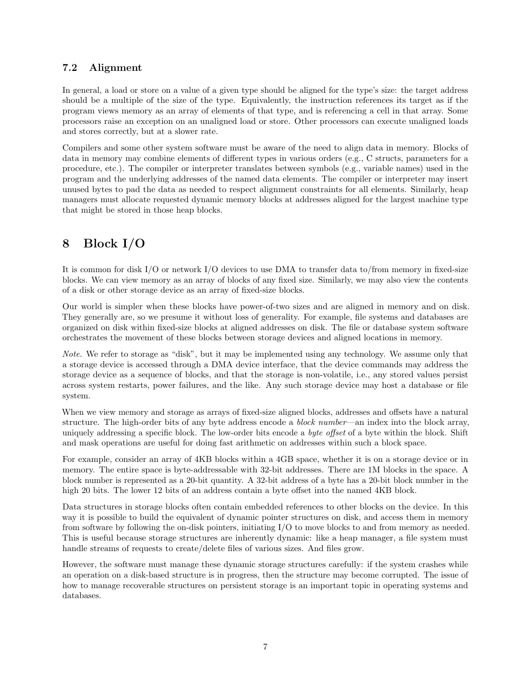#### 7.2 Alignment

In general, a load or store on a value of a given type should be aligned for the type's size: the target address should be a multiple of the size of the type. Equivalently, the instruction references its target as if the program views memory as an array of elements of that type, and is referencing a cell in that array. Some processors raise an exception on an unaligned load or store. Other processors can execute unaligned loads and stores correctly, but at a slower rate.

Compilers and some other system software must be aware of the need to align data in memory. Blocks of data in memory may combine elements of different types in various orders (e.g., C structs, parameters for a procedure, etc.). The compiler or interpreter translates between symbols (e.g., variable names) used in the program and the underlying addresses of the named data elements. The compiler or interpreter may insert unused bytes to pad the data as needed to respect alignment constraints for all elements. Similarly, heap managers must allocate requested dynamic memory blocks at addresses aligned for the largest machine type that might be stored in those heap blocks.

## 8 Block I/O

It is common for disk I/O or network I/O devices to use DMA to transfer data to/from memory in fixed-size blocks. We can view memory as an array of blocks of any fixed size. Similarly, we may also view the contents of a disk or other storage device as an array of fixed-size blocks.

Our world is simpler when these blocks have power-of-two sizes and are aligned in memory and on disk. They generally are, so we presume it without loss of generality. For example, file systems and databases are organized on disk within fixed-size blocks at aligned addresses on disk. The file or database system software orchestrates the movement of these blocks between storage devices and aligned locations in memory.

Note. We refer to storage as "disk", but it may be implemented using any technology. We assume only that a storage device is accessed through a DMA device interface, that the device commands may address the storage device as a sequence of blocks, and that the storage is non-volatile, i.e., any stored values persist across system restarts, power failures, and the like. Any such storage device may host a database or file system.

When we view memory and storage as arrays of fixed-size aligned blocks, addresses and offsets have a natural structure. The high-order bits of any byte address encode a *block number*—an index into the block array, uniquely addressing a specific block. The low-order bits encode a byte offset of a byte within the block. Shift and mask operations are useful for doing fast arithmetic on addresses within such a block space.

For example, consider an array of 4KB blocks within a 4GB space, whether it is on a storage device or in memory. The entire space is byte-addressable with 32-bit addresses. There are 1M blocks in the space. A block number is represented as a 20-bit quantity. A 32-bit address of a byte has a 20-bit block number in the high 20 bits. The lower 12 bits of an address contain a byte offset into the named 4KB block.

Data structures in storage blocks often contain embedded references to other blocks on the device. In this way it is possible to build the equivalent of dynamic pointer structures on disk, and access them in memory from software by following the on-disk pointers, initiating I/O to move blocks to and from memory as needed. This is useful because storage structures are inherently dynamic: like a heap manager, a file system must handle streams of requests to create/delete files of various sizes. And files grow.

However, the software must manage these dynamic storage structures carefully: if the system crashes while an operation on a disk-based structure is in progress, then the structure may become corrupted. The issue of how to manage recoverable structures on persistent storage is an important topic in operating systems and databases.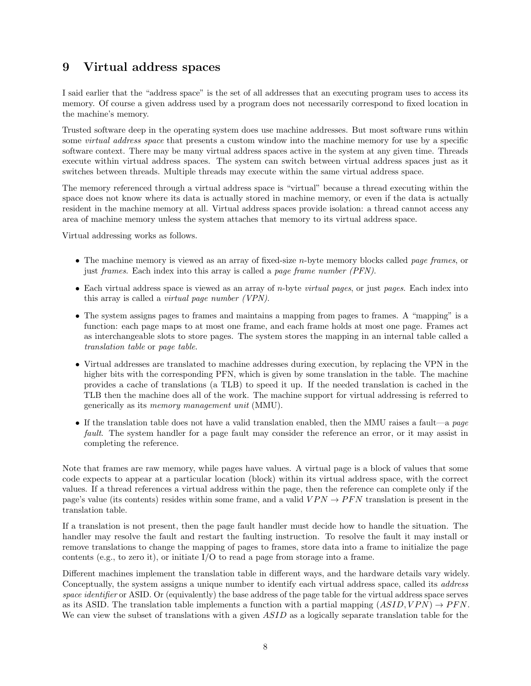### 9 Virtual address spaces

I said earlier that the "address space" is the set of all addresses that an executing program uses to access its memory. Of course a given address used by a program does not necessarily correspond to fixed location in the machine's memory.

Trusted software deep in the operating system does use machine addresses. But most software runs within some *virtual address space* that presents a custom window into the machine memory for use by a specific software context. There may be many virtual address spaces active in the system at any given time. Threads execute within virtual address spaces. The system can switch between virtual address spaces just as it switches between threads. Multiple threads may execute within the same virtual address space.

The memory referenced through a virtual address space is "virtual" because a thread executing within the space does not know where its data is actually stored in machine memory, or even if the data is actually resident in the machine memory at all. Virtual address spaces provide isolation: a thread cannot access any area of machine memory unless the system attaches that memory to its virtual address space.

Virtual addressing works as follows.

- The machine memory is viewed as an array of fixed-size *n*-byte memory blocks called *page frames*, or just frames. Each index into this array is called a page frame number (PFN).
- Each virtual address space is viewed as an array of *n*-byte *virtual pages*, or just pages. Each index into this array is called a virtual page number (VPN).
- The system assigns pages to frames and maintains a mapping from pages to frames. A "mapping" is a function: each page maps to at most one frame, and each frame holds at most one page. Frames act as interchangeable slots to store pages. The system stores the mapping in an internal table called a translation table or page table.
- Virtual addresses are translated to machine addresses during execution, by replacing the VPN in the higher bits with the corresponding PFN, which is given by some translation in the table. The machine provides a cache of translations (a TLB) to speed it up. If the needed translation is cached in the TLB then the machine does all of the work. The machine support for virtual addressing is referred to generically as its memory management unit (MMU).
- If the translation table does not have a valid translation enabled, then the MMU raises a fault—a page fault. The system handler for a page fault may consider the reference an error, or it may assist in completing the reference.

Note that frames are raw memory, while pages have values. A virtual page is a block of values that some code expects to appear at a particular location (block) within its virtual address space, with the correct values. If a thread references a virtual address within the page, then the reference can complete only if the page's value (its contents) resides within some frame, and a valid  $VPN \rightarrow PFN$  translation is present in the translation table.

If a translation is not present, then the page fault handler must decide how to handle the situation. The handler may resolve the fault and restart the faulting instruction. To resolve the fault it may install or remove translations to change the mapping of pages to frames, store data into a frame to initialize the page contents (e.g., to zero it), or initiate  $I/O$  to read a page from storage into a frame.

Different machines implement the translation table in different ways, and the hardware details vary widely. Conceptually, the system assigns a unique number to identify each virtual address space, called its address space identifier or ASID. Or (equivalently) the base address of the page table for the virtual address space serves as its ASID. The translation table implements a function with a partial mapping  $(ASID, VPN) \rightarrow PFN$ . We can view the subset of translations with a given ASID as a logically separate translation table for the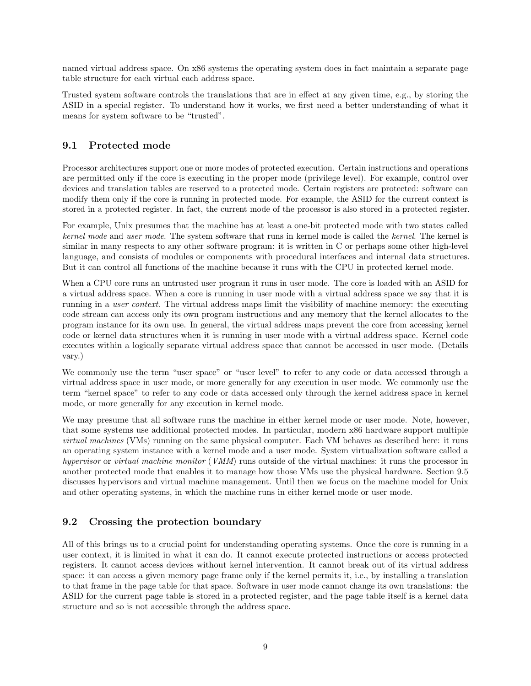named virtual address space. On x86 systems the operating system does in fact maintain a separate page table structure for each virtual each address space.

Trusted system software controls the translations that are in effect at any given time, e.g., by storing the ASID in a special register. To understand how it works, we first need a better understanding of what it means for system software to be "trusted".

#### 9.1 Protected mode

Processor architectures support one or more modes of protected execution. Certain instructions and operations are permitted only if the core is executing in the proper mode (privilege level). For example, control over devices and translation tables are reserved to a protected mode. Certain registers are protected: software can modify them only if the core is running in protected mode. For example, the ASID for the current context is stored in a protected register. In fact, the current mode of the processor is also stored in a protected register.

For example, Unix presumes that the machine has at least a one-bit protected mode with two states called kernel mode and user mode. The system software that runs in kernel mode is called the kernel. The kernel is similar in many respects to any other software program: it is written in C or perhaps some other high-level language, and consists of modules or components with procedural interfaces and internal data structures. But it can control all functions of the machine because it runs with the CPU in protected kernel mode.

When a CPU core runs an untrusted user program it runs in user mode. The core is loaded with an ASID for a virtual address space. When a core is running in user mode with a virtual address space we say that it is running in a user context. The virtual address maps limit the visibility of machine memory: the executing code stream can access only its own program instructions and any memory that the kernel allocates to the program instance for its own use. In general, the virtual address maps prevent the core from accessing kernel code or kernel data structures when it is running in user mode with a virtual address space. Kernel code executes within a logically separate virtual address space that cannot be accessed in user mode. (Details vary.)

We commonly use the term "user space" or "user level" to refer to any code or data accessed through a virtual address space in user mode, or more generally for any execution in user mode. We commonly use the term "kernel space" to refer to any code or data accessed only through the kernel address space in kernel mode, or more generally for any execution in kernel mode.

We may presume that all software runs the machine in either kernel mode or user mode. Note, however, that some systems use additional protected modes. In particular, modern x86 hardware support multiple virtual machines (VMs) running on the same physical computer. Each VM behaves as described here: it runs an operating system instance with a kernel mode and a user mode. System virtualization software called a hypervisor or virtual machine monitor (VMM) runs outside of the virtual machines: it runs the processor in another protected mode that enables it to manage how those VMs use the physical hardware. Section 9.5 discusses hypervisors and virtual machine management. Until then we focus on the machine model for Unix and other operating systems, in which the machine runs in either kernel mode or user mode.

#### 9.2 Crossing the protection boundary

All of this brings us to a crucial point for understanding operating systems. Once the core is running in a user context, it is limited in what it can do. It cannot execute protected instructions or access protected registers. It cannot access devices without kernel intervention. It cannot break out of its virtual address space: it can access a given memory page frame only if the kernel permits it, i.e., by installing a translation to that frame in the page table for that space. Software in user mode cannot change its own translations: the ASID for the current page table is stored in a protected register, and the page table itself is a kernel data structure and so is not accessible through the address space.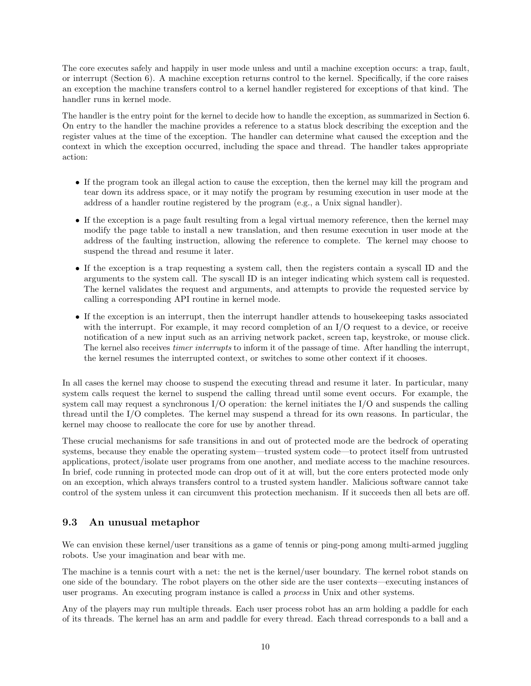The core executes safely and happily in user mode unless and until a machine exception occurs: a trap, fault, or interrupt (Section 6). A machine exception returns control to the kernel. Specifically, if the core raises an exception the machine transfers control to a kernel handler registered for exceptions of that kind. The handler runs in kernel mode.

The handler is the entry point for the kernel to decide how to handle the exception, as summarized in Section 6. On entry to the handler the machine provides a reference to a status block describing the exception and the register values at the time of the exception. The handler can determine what caused the exception and the context in which the exception occurred, including the space and thread. The handler takes appropriate action:

- If the program took an illegal action to cause the exception, then the kernel may kill the program and tear down its address space, or it may notify the program by resuming execution in user mode at the address of a handler routine registered by the program (e.g., a Unix signal handler).
- If the exception is a page fault resulting from a legal virtual memory reference, then the kernel may modify the page table to install a new translation, and then resume execution in user mode at the address of the faulting instruction, allowing the reference to complete. The kernel may choose to suspend the thread and resume it later.
- If the exception is a trap requesting a system call, then the registers contain a syscall ID and the arguments to the system call. The syscall ID is an integer indicating which system call is requested. The kernel validates the request and arguments, and attempts to provide the requested service by calling a corresponding API routine in kernel mode.
- If the exception is an interrupt, then the interrupt handler attends to housekeeping tasks associated with the interrupt. For example, it may record completion of an I/O request to a device, or receive notification of a new input such as an arriving network packet, screen tap, keystroke, or mouse click. The kernel also receives *timer interrupts* to inform it of the passage of time. After handling the interrupt, the kernel resumes the interrupted context, or switches to some other context if it chooses.

In all cases the kernel may choose to suspend the executing thread and resume it later. In particular, many system calls request the kernel to suspend the calling thread until some event occurs. For example, the system call may request a synchronous I/O operation: the kernel initiates the I/O and suspends the calling thread until the I/O completes. The kernel may suspend a thread for its own reasons. In particular, the kernel may choose to reallocate the core for use by another thread.

These crucial mechanisms for safe transitions in and out of protected mode are the bedrock of operating systems, because they enable the operating system—trusted system code—to protect itself from untrusted applications, protect/isolate user programs from one another, and mediate access to the machine resources. In brief, code running in protected mode can drop out of it at will, but the core enters protected mode only on an exception, which always transfers control to a trusted system handler. Malicious software cannot take control of the system unless it can circumvent this protection mechanism. If it succeeds then all bets are off.

### 9.3 An unusual metaphor

We can envision these kernel/user transitions as a game of tennis or ping-pong among multi-armed juggling robots. Use your imagination and bear with me.

The machine is a tennis court with a net: the net is the kernel/user boundary. The kernel robot stands on one side of the boundary. The robot players on the other side are the user contexts—executing instances of user programs. An executing program instance is called a process in Unix and other systems.

Any of the players may run multiple threads. Each user process robot has an arm holding a paddle for each of its threads. The kernel has an arm and paddle for every thread. Each thread corresponds to a ball and a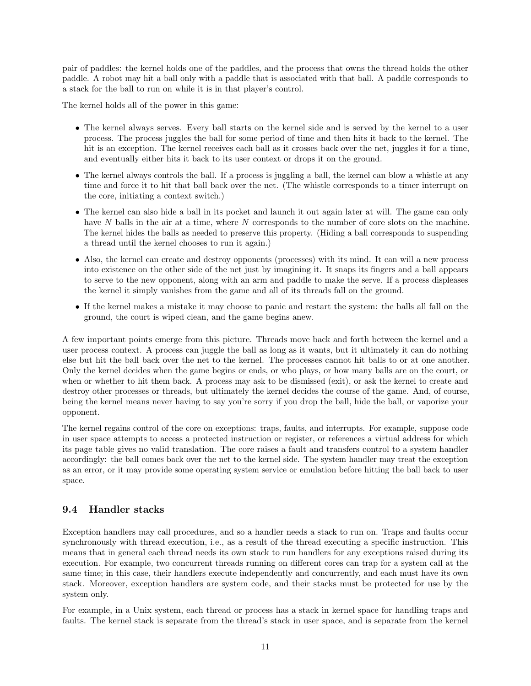pair of paddles: the kernel holds one of the paddles, and the process that owns the thread holds the other paddle. A robot may hit a ball only with a paddle that is associated with that ball. A paddle corresponds to a stack for the ball to run on while it is in that player's control.

The kernel holds all of the power in this game:

- The kernel always serves. Every ball starts on the kernel side and is served by the kernel to a user process. The process juggles the ball for some period of time and then hits it back to the kernel. The hit is an exception. The kernel receives each ball as it crosses back over the net, juggles it for a time, and eventually either hits it back to its user context or drops it on the ground.
- The kernel always controls the ball. If a process is juggling a ball, the kernel can blow a whistle at any time and force it to hit that ball back over the net. (The whistle corresponds to a timer interrupt on the core, initiating a context switch.)
- The kernel can also hide a ball in its pocket and launch it out again later at will. The game can only have N balls in the air at a time, where N corresponds to the number of core slots on the machine. The kernel hides the balls as needed to preserve this property. (Hiding a ball corresponds to suspending a thread until the kernel chooses to run it again.)
- Also, the kernel can create and destroy opponents (processes) with its mind. It can will a new process into existence on the other side of the net just by imagining it. It snaps its fingers and a ball appears to serve to the new opponent, along with an arm and paddle to make the serve. If a process displeases the kernel it simply vanishes from the game and all of its threads fall on the ground.
- If the kernel makes a mistake it may choose to panic and restart the system: the balls all fall on the ground, the court is wiped clean, and the game begins anew.

A few important points emerge from this picture. Threads move back and forth between the kernel and a user process context. A process can juggle the ball as long as it wants, but it ultimately it can do nothing else but hit the ball back over the net to the kernel. The processes cannot hit balls to or at one another. Only the kernel decides when the game begins or ends, or who plays, or how many balls are on the court, or when or whether to hit them back. A process may ask to be dismissed (exit), or ask the kernel to create and destroy other processes or threads, but ultimately the kernel decides the course of the game. And, of course, being the kernel means never having to say you're sorry if you drop the ball, hide the ball, or vaporize your opponent.

The kernel regains control of the core on exceptions: traps, faults, and interrupts. For example, suppose code in user space attempts to access a protected instruction or register, or references a virtual address for which its page table gives no valid translation. The core raises a fault and transfers control to a system handler accordingly: the ball comes back over the net to the kernel side. The system handler may treat the exception as an error, or it may provide some operating system service or emulation before hitting the ball back to user space.

#### 9.4 Handler stacks

Exception handlers may call procedures, and so a handler needs a stack to run on. Traps and faults occur synchronously with thread execution, i.e., as a result of the thread executing a specific instruction. This means that in general each thread needs its own stack to run handlers for any exceptions raised during its execution. For example, two concurrent threads running on different cores can trap for a system call at the same time; in this case, their handlers execute independently and concurrently, and each must have its own stack. Moreover, exception handlers are system code, and their stacks must be protected for use by the system only.

For example, in a Unix system, each thread or process has a stack in kernel space for handling traps and faults. The kernel stack is separate from the thread's stack in user space, and is separate from the kernel